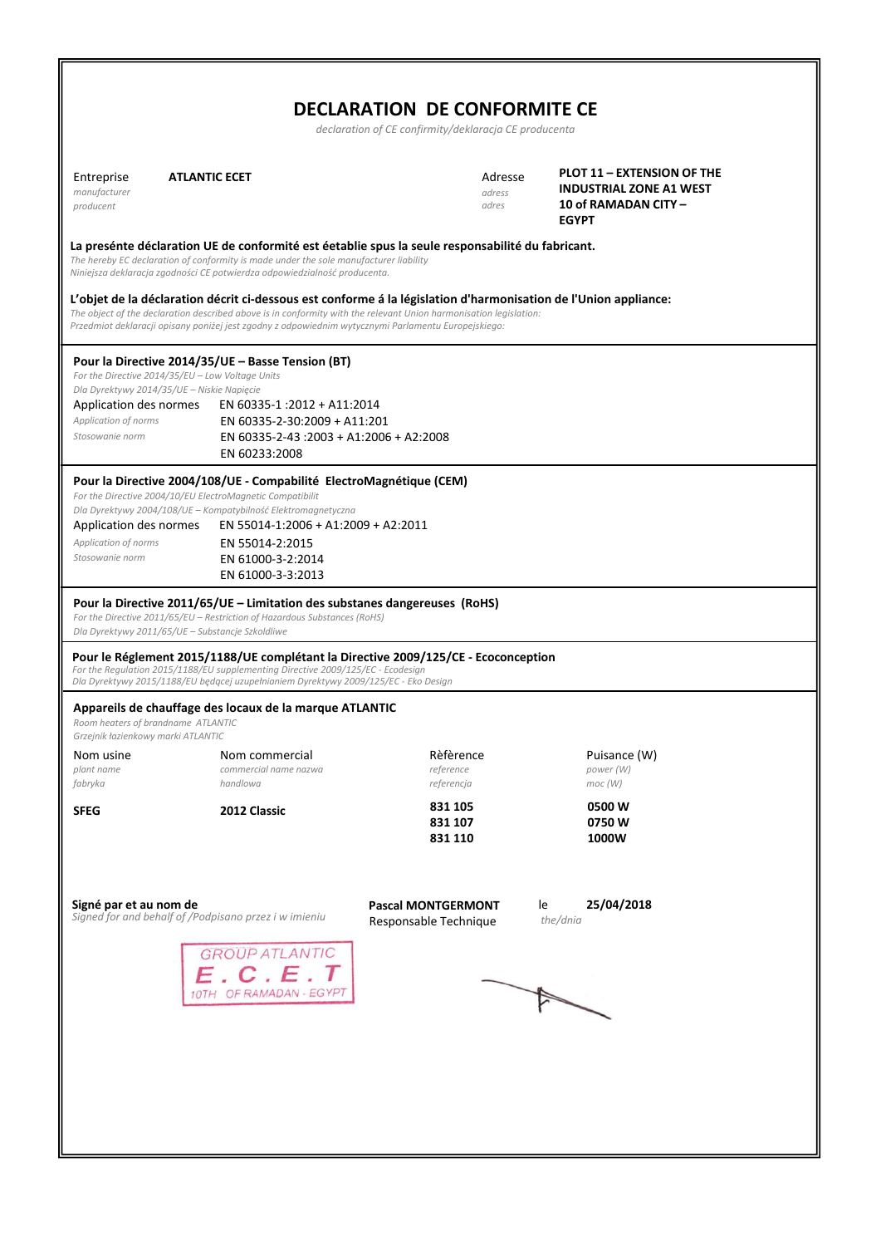| <b>DECLARATION DE CONFORMITE CE</b>                                      |                                                                                                                                                                                                                                                                                                                                                                                           |                                                       |                                                                                                      |  |  |  |
|--------------------------------------------------------------------------|-------------------------------------------------------------------------------------------------------------------------------------------------------------------------------------------------------------------------------------------------------------------------------------------------------------------------------------------------------------------------------------------|-------------------------------------------------------|------------------------------------------------------------------------------------------------------|--|--|--|
|                                                                          |                                                                                                                                                                                                                                                                                                                                                                                           | declaration of CE confirmity/deklaracja CE producenta |                                                                                                      |  |  |  |
| Entreprise<br>manufacturer<br>producent                                  | <b>ATLANTIC ECET</b>                                                                                                                                                                                                                                                                                                                                                                      | Adresse<br>adress<br>adres                            | PLOT 11 - EXTENSION OF THE<br><b>INDUSTRIAL ZONE A1 WEST</b><br>10 of RAMADAN CITY -<br><b>EGYPT</b> |  |  |  |
|                                                                          | La presénte déclaration UE de conformité est éetablie spus la seule responsabilité du fabricant.<br>The hereby EC declaration of conformity is made under the sole manufacturer liability<br>Niniejsza deklaracja zgodności CE potwierdza odpowiedzialność producenta.<br>L'objet de la déclaration décrit ci-dessous est conforme á la législation d'harmonisation de l'Union appliance: |                                                       |                                                                                                      |  |  |  |
|                                                                          | The object of the declaration described above is in conformity with the relevant Union harmonisation legislation:<br>Przedmiot deklaracji opisany poniżej jest zgodny z odpowiednim wytycznymi Parlamentu Europejskiego:                                                                                                                                                                  |                                                       |                                                                                                      |  |  |  |
| Application des normes<br>Application of norms<br>Stosowanie norm        | Pour la Directive 2014/35/UE - Basse Tension (BT)<br>For the Directive 2014/35/EU - Low Voltage Units<br>Dla Dyrektywy 2014/35/UE - Niskie Napięcie<br>EN 60335-1:2012 + A11:2014<br>EN 60335-2-30:2009 + A11:201<br>EN 60335-2-43 :2003 + A1:2006 + A2:2008<br>EN 60233:2008                                                                                                             |                                                       |                                                                                                      |  |  |  |
| Application des normes<br>Application of norms<br>Stosowanie norm        | Pour la Directive 2004/108/UE - Compabilité ElectroMagnétique (CEM)<br>For the Directive 2004/10/EU ElectroMagnetic Compatibilit<br>Dla Dyrektywy 2004/108/UE - Kompatybilność Elektromagnetyczna<br>EN 55014-1:2006 + A1:2009 + A2:2011<br>EN 55014-2:2015<br>EN 61000-3-2:2014<br>EN 61000-3-3:2013                                                                                     |                                                       |                                                                                                      |  |  |  |
|                                                                          | Pour la Directive 2011/65/UE – Limitation des substanes dangereuses (RoHS)<br>For the Directive 2011/65/EU - Restriction of Hazardous Substances (RoHS)<br>Dla Dyrektywy 2011/65/UE - Substancje Szkoldliwe                                                                                                                                                                               |                                                       |                                                                                                      |  |  |  |
|                                                                          | Pour le Réglement 2015/1188/UE complétant la Directive 2009/125/CE - Ecoconception<br>For the Regulation 2015/1188/EU supplementing Directive 2009/125/EC - Ecodesign<br>Dla Dyrektywy 2015/1188/EU będącej uzupełnianiem Dyrektywy 2009/125/EC - Eko Design                                                                                                                              |                                                       |                                                                                                      |  |  |  |
| Room heaters of brandname ATLANTIC<br>Grzejnik łazienkowy marki ATLANTIC | Appareils de chauffage des locaux de la marque ATLANTIC                                                                                                                                                                                                                                                                                                                                   |                                                       |                                                                                                      |  |  |  |
| Nom usine                                                                | Nom commercial                                                                                                                                                                                                                                                                                                                                                                            | Rèfèrence                                             | Puisance (W)                                                                                         |  |  |  |
| plant name<br>fabryka                                                    | commercial name nazwa<br>handlowa                                                                                                                                                                                                                                                                                                                                                         | reference<br>referencja                               | power (W)<br>moc (W)                                                                                 |  |  |  |
| <b>SFEG</b>                                                              | 2012 Classic                                                                                                                                                                                                                                                                                                                                                                              | 831 105<br>831 107<br>831 110                         | 0500 W<br>0750W<br>1000W                                                                             |  |  |  |
| Signé par et au nom de                                                   | Signed for and behalf of /Podpisano przez i w imieniu                                                                                                                                                                                                                                                                                                                                     | <b>Pascal MONTGERMONT</b><br>Responsable Technique    | 25/04/2018<br>le<br>the/dnia                                                                         |  |  |  |
|                                                                          | <b>GROUP ATLANTIC</b><br>C.E.T<br>10TH OF RAMADAN - EGYPT                                                                                                                                                                                                                                                                                                                                 |                                                       |                                                                                                      |  |  |  |
|                                                                          |                                                                                                                                                                                                                                                                                                                                                                                           |                                                       |                                                                                                      |  |  |  |
|                                                                          |                                                                                                                                                                                                                                                                                                                                                                                           |                                                       |                                                                                                      |  |  |  |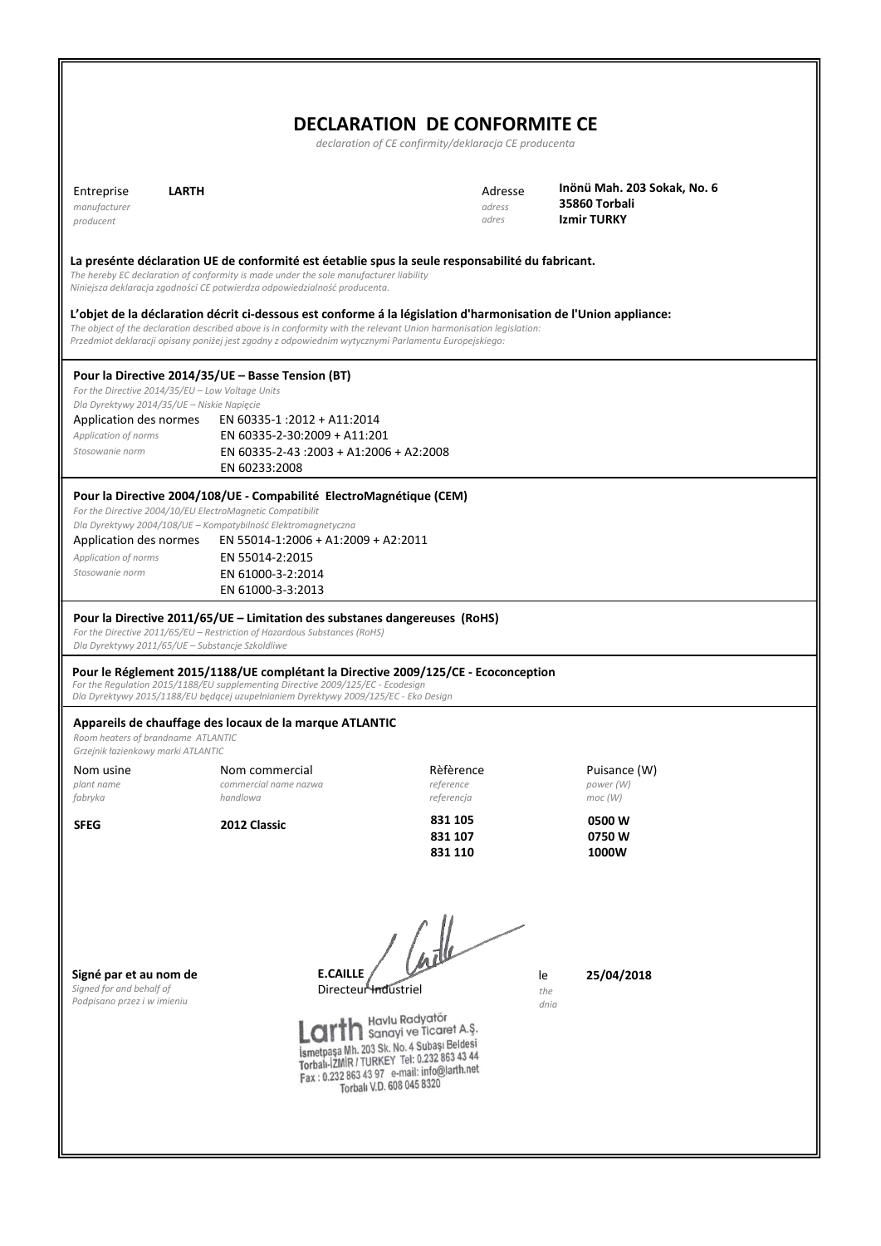## **DECLARATION DE CONFORMITE CE**

|                                                                                                                 |                                                                                                                                                                                                                                                                                                                                             | declaration of CE confirmity/deklaracja CE producenta |                                                             |
|-----------------------------------------------------------------------------------------------------------------|---------------------------------------------------------------------------------------------------------------------------------------------------------------------------------------------------------------------------------------------------------------------------------------------------------------------------------------------|-------------------------------------------------------|-------------------------------------------------------------|
| <b>LARTH</b><br>Entreprise<br>manufacturer<br>producent                                                         |                                                                                                                                                                                                                                                                                                                                             | Adresse<br>adress<br>adres                            | Inönü Mah. 203 Sokak, No. 6<br>35860 Torbali<br>Izmir TURKY |
|                                                                                                                 | La presénte déclaration UE de conformité est éetablie spus la seule responsabilité du fabricant.<br>The hereby EC declaration of conformity is made under the sole manufacturer liability<br>Niniejsza deklaracja zgodności CE potwierdza odpowiedzialność producenta.                                                                      |                                                       |                                                             |
|                                                                                                                 | L'objet de la déclaration décrit ci-dessous est conforme á la législation d'harmonisation de l'Union appliance:<br>The object of the declaration described above is in conformity with the relevant Union harmonisation legislation:<br>Przedmiot deklaracji opisany poniżej jest zgodny z odpowiednim wytycznymi Parlamentu Europejskiego: |                                                       |                                                             |
| For the Directive 2014/35/EU - Low Voltage Units                                                                | Pour la Directive 2014/35/UE - Basse Tension (BT)                                                                                                                                                                                                                                                                                           |                                                       |                                                             |
| Dla Dyrektywy 2014/35/UE - Niskie Napięcie<br>Application des normes<br>Application of norms<br>Stosowanie norm | EN 60335-1:2012 + A11:2014<br>EN 60335-2-30:2009 + A11:201<br>EN 60335-2-43 :2003 + A1:2006 + A2:2008<br>EN 60233:2008                                                                                                                                                                                                                      |                                                       |                                                             |
| For the Directive 2004/10/EU ElectroMagnetic Compatibilit                                                       | Pour la Directive 2004/108/UE - Compabilité ElectroMagnétique (CEM)<br>Dla Dyrektywy 2004/108/UE - Kompatybilność Elektromagnetyczna                                                                                                                                                                                                        |                                                       |                                                             |
| Application des normes<br>Application of norms<br>Stosowanie norm                                               | EN 55014-1:2006 + A1:2009 + A2:2011<br>EN 55014-2:2015<br>EN 61000-3-2:2014<br>EN 61000-3-3:2013                                                                                                                                                                                                                                            |                                                       |                                                             |
| Dla Dyrektywy 2011/65/UE - Substancje Szkoldliwe                                                                | Pour la Directive 2011/65/UE – Limitation des substanes dangereuses (RoHS)<br>For the Directive 2011/65/EU - Restriction of Hazardous Substances (RoHS)                                                                                                                                                                                     |                                                       |                                                             |
|                                                                                                                 | Pour le Réglement 2015/1188/UE complétant la Directive 2009/125/CE - Ecoconception<br>For the Regulation 2015/1188/EU supplementing Directive 2009/125/EC - Ecodesign<br>Dla Dyrektywy 2015/1188/EU będącej uzupełnianiem Dyrektywy 2009/125/EC - Eko Design                                                                                |                                                       |                                                             |
| Room heaters of brandname ATLANTIC<br>Grzejnik łazienkowy marki ATLANTIC                                        | Appareils de chauffage des locaux de la marque ATLANTIC                                                                                                                                                                                                                                                                                     |                                                       |                                                             |
| Nom usine<br>plant name<br>fabryka                                                                              | Nom commercial<br>commercial name nazwa<br>handlowa                                                                                                                                                                                                                                                                                         | Rèfèrence<br>reference<br>referencja                  | Puisance (W)<br>power (W)<br>moc(W)                         |
| <b>SFEG</b>                                                                                                     | 2012 Classic                                                                                                                                                                                                                                                                                                                                | 831 105<br>831 107<br>831 110                         | 0500W<br>0750W<br>1000W                                     |
| Signé par et au nom de<br>Signed for and behalf of<br>Podpisano przez i w imieniu                               | <b>E.CAILLE</b><br>Directeur Industriel<br>Havlu Radyatör<br>İsmetpaşa Mh. 203 Sk. No. 4 Subaşı Beldesi<br>Torbalı-İZMİR / TURKEY Tel: 0.232 863 43 44<br>Fax: 0.232 863 43 97 e-mail: info@larth.net<br>Torball V.D. 608 045 8320                                                                                                          | Cadle<br>le<br>Sanayi ve Ticaret A.Ş.                 | 25/04/2018<br>the<br>dnia                                   |